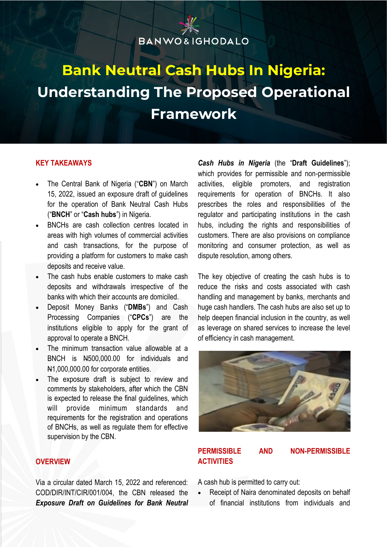### **BANWO&IGHODALO**

### **Bank Neutral Cash Hubs In Nigeria: Understanding The Proposed Operational Framework**

#### **KEY TAKEAWAYS**

- The Central Bank of Nigeria ("**CBN**") on March 15, 2022, issued an exposure draft of guidelines for the operation of Bank Neutral Cash Hubs ("**BNCH**" or "**Cash hubs**") in Nigeria.
- BNCHs are cash collection centres located in areas with high volumes of commercial activities and cash transactions, for the purpose of providing a platform for customers to make cash deposits and receive value.
- The cash hubs enable customers to make cash deposits and withdrawals irrespective of the banks with which their accounts are domiciled.
- Deposit Money Banks ("**DMBs**") and Cash Processing Companies ("**CPCs**") are the institutions eligible to apply for the grant of approval to operate a BNCH.
- The minimum transaction value allowable at a BNCH is N500,000.00 for individuals and N1,000,000.00 for corporate entities.
- The exposure draft is subject to review and comments by stakeholders, after which the CBN is expected to release the final guidelines, which will provide minimum standards and requirements for the registration and operations of BNCHs, as well as regulate them for effective supervision by the CBN.

**OVERVIEW**

Via a circular dated March 15, 2022 and referenced: COD/DIR/INT/CIR/001/004, the CBN released the *Exposure Draft on Guidelines for Bank Neutral* 

*Cash Hubs in Nigeria* (the "**Draft Guidelines**"); which provides for permissible and non-permissible activities, eligible promoters, and registration requirements for operation of BNCHs. It also prescribes the roles and responsibilities of the regulator and participating institutions in the cash hubs, including the rights and responsibilities of customers. There are also provisions on compliance monitoring and consumer protection, as well as dispute resolution, among others.

The key objective of creating the cash hubs is to reduce the risks and costs associated with cash handling and management by banks, merchants and huge cash handlers. The cash hubs are also set up to help deepen financial inclusion in the country, as well as leverage on shared services to increase the level of efficiency in cash management.



#### **PERMISSIBLE AND NON-PERMISSIBLE ACTIVITIES**

A cash hub is permitted to carry out:

• Receipt of Naira denominated deposits on behalf of financial institutions from individuals and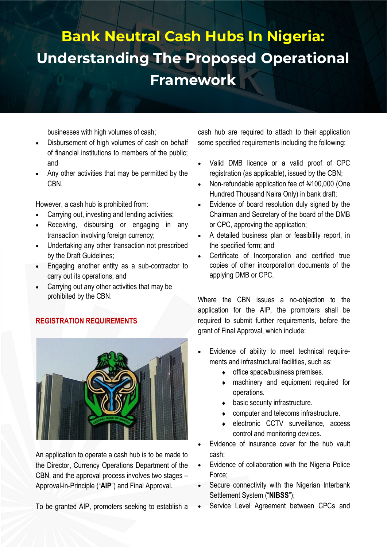businesses with high volumes of cash;

- Disbursement of high volumes of cash on behalf of financial institutions to members of the public; and
- Any other activities that may be permitted by the CBN.

However, a cash hub is prohibited from:

- Carrying out, investing and lending activities;
- Receiving, disbursing or engaging in any transaction involving foreign currency:
- Undertaking any other transaction not prescribed by the Draft Guidelines;
- Engaging another entity as a sub-contractor to carry out its operations; and
- Carrying out any other activities that may be prohibited by the CBN.

#### **REGISTRATION REQUIREMENTS**



An application to operate a cash hub is to be made to the Director, Currency Operations Department of the CBN, and the approval process involves two stages – Approval-in-Principle ("**AIP**") and Final Approval.

To be granted AIP, promoters seeking to establish a

cash hub are required to attach to their application some specified requirements including the following:

- Valid DMB licence or a valid proof of CPC registration (as applicable), issued by the CBN;
- Non-refundable application fee of N100,000 (One Hundred Thousand Naira Only) in bank draft;
- Evidence of board resolution duly signed by the Chairman and Secretary of the board of the DMB or CPC, approving the application;
- A detailed business plan or feasibility report, in the specified form; and
- Certificate of Incorporation and certified true copies of other incorporation documents of the applying DMB or CPC.

Where the CBN issues a no-objection to the application for the AIP, the promoters shall be required to submit further requirements, before the grant of Final Approval, which include:

- Evidence of ability to meet technical requirements and infrastructural facilities, such as:
	- office space/business premises.
	- machinery and equipment required for operations.
	- basic security infrastructure.
	- computer and telecoms infrastructure.
	- electronic CCTV surveillance, access control and monitoring devices.
- Evidence of insurance cover for the hub vault cash;
- Evidence of collaboration with the Nigeria Police Force;
- Secure connectivity with the Nigerian Interbank Settlement System ("**NIBSS**");
- Service Level Agreement between CPCs and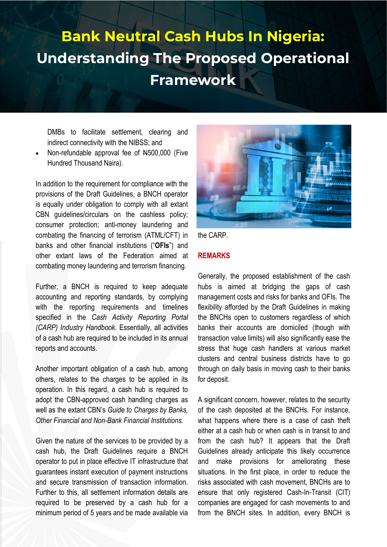DMBs to facilitate settlement, clearing and indirect connectivity with the NIBSS; and

• Non-refundable approval fee of N500,000 (Five Hundred Thousand Naira).

In addition to the requirement for compliance with the provisions of the Draft Guidelines, a BNCH operator is equally under obligation to comply with all extant CBN guidelines/circulars on the cashless policy; consumer protection; anti-money laundering and combating the financing of terrorism (ATML/CFT) in banks and other financial institutions ("**OFIs**") and other extant laws of the Federation aimed at combating money laundering and terrorism financing.

Further, a BNCH is required to keep adequate accounting and reporting standards, by complying with the reporting requirements and timelines specified in the *Cash Activity Reporting Portal (CARP) Industry Handbook*. Essentially, all activities of a cash hub are required to be included in its annual reports and accounts.

Another important obligation of a cash hub, among others, relates to the charges to be applied in its operation. In this regard, a cash hub is required to adopt the CBN-approved cash handling charges as well as the extant CBN's *Guide to Charges by Banks, Other Financial and Non-Bank Financial Institutions.* 

Given the nature of the services to be provided by a cash hub, the Draft Guidelines require a BNCH operator to put in place effective IT infrastructure that guarantees instant execution of payment instructions and secure transmission of transaction information. Further to this, all settlement information details are required to be preserved by a cash hub for a minimum period of 5 years and be made available via





#### **REMARKS**

Generally, the proposed establishment of the cash hubs is aimed at bridging the gaps of cash management costs and risks for banks and OFIs. The flexibility afforded by the Draft Guidelines in making the BNCHs open to customers regardless of which banks their accounts are domiciled (though with transaction value limits) will also significantly ease the stress that huge cash handlers at various market clusters and central business districts have to go through on daily basis in moving cash to their banks for deposit.

A significant concern, however, relates to the security of the cash deposited at the BNCHs. For instance, what happens where there is a case of cash theft either at a cash hub or when cash is in transit to and from the cash hub? It appears that the Draft Guidelines already anticipate this likely occurrence and make provisions for ameliorating these situations. In the first place, in order to reduce the risks associated with cash movement, BNCHs are to ensure that only registered Cash-In-Transit (CIT) companies are engaged for cash movements to and from the BNCH sites. In addition, every BNCH is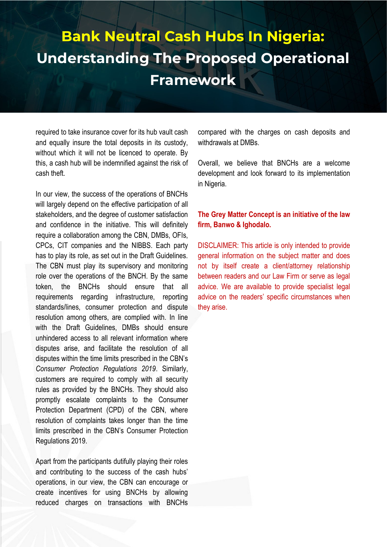required to take insurance cover for its hub vault cash and equally insure the total deposits in its custody, without which it will not be licenced to operate. By this, a cash hub will be indemnified against the risk of cash theft.

In our view, the success of the operations of BNCHs will largely depend on the effective participation of all stakeholders, and the degree of customer satisfaction and confidence in the initiative. This will definitely require a collaboration among the CBN, DMBs, OFIs, CPCs, CIT companies and the NIBBS. Each party has to play its role, as set out in the Draft Guidelines. The CBN must play its supervisory and monitoring role over the operations of the BNCH. By the same token, the BNCHs should ensure that all requirements regarding infrastructure, reporting standards/lines, consumer protection and dispute resolution among others, are complied with. In line with the Draft Guidelines, DMBs should ensure unhindered access to all relevant information where disputes arise, and facilitate the resolution of all disputes within the time limits prescribed in the CBN's *Consumer Protection Regulations 2019*. Similarly, customers are required to comply with all security rules as provided by the BNCHs. They should also promptly escalate complaints to the Consumer Protection Department (CPD) of the CBN, where resolution of complaints takes longer than the time limits prescribed in the CBN's Consumer Protection Regulations 2019.

Apart from the participants dutifully playing their roles and contributing to the success of the cash hubs' operations, in our view, the CBN can encourage or create incentives for using BNCHs by allowing reduced charges on transactions with BNCHs compared with the charges on cash deposits and withdrawals at DMBs.

Overall, we believe that BNCHs are a welcome development and look forward to its implementation in Nigeria.

#### **The Grey Matter Concept is an initiative of the law firm, Banwo & Ighodalo.**

DISCLAIMER: This article is only intended to provide general information on the subject matter and does not by itself create a client/attorney relationship between readers and our Law Firm or serve as legal advice. We are available to provide specialist legal advice on the readers' specific circumstances when they arise.